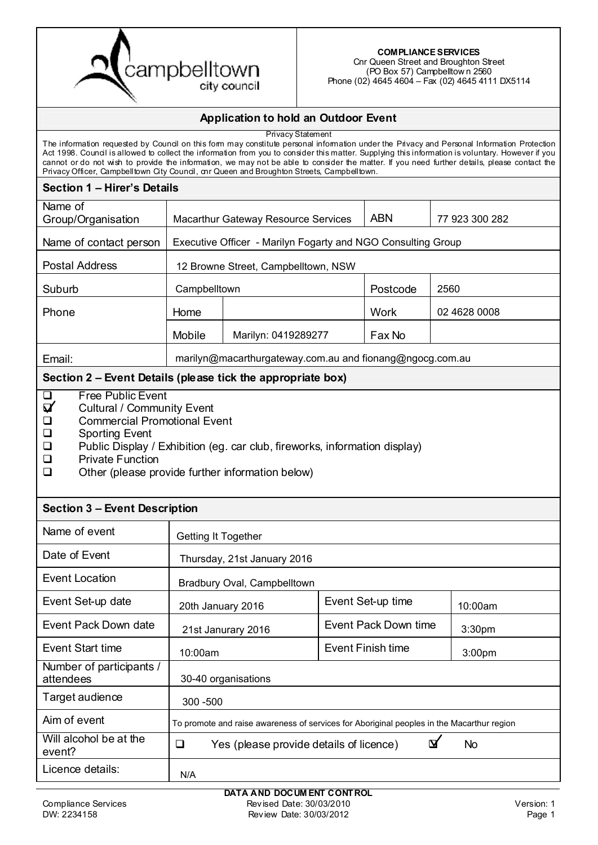

(PO Box 57) Campbelltow n 2560 Phone (02) 4645 4604 – Fax (02) 4645 4111 DX5114

#### **Application to hold an Outdoor Event**

Privacy Statement The information requested by Council on this form may constitute personal information under the Privacy and Personal Information Protection Act 1998. Council is allowed to collect the information from you to consider this matter. Supplying this information is voluntary. However if you cannot or do not wish to provide the information, we may not be able to consider the matter. If you need further details, please contact the Privacy Officer, Campbelltown City Council, cnr Queen and Broughton Streets, Campbelltown. **Section 1 – Hirer's Details** Name of Group/Organisation | Macarthur Gateway Resource Services | ABN Name of contact person Postal Address Suburb | Campbelltown | Postcode | 2560 Phone Home Network Nork Mobile | Marilyn: 0419289277 | Fax No Email: **Section 2 – Event Details (please tick the appropriate box)**  $\Box$  Free Public Event<br> $\Box$  Cultural / Commun Cultural / Community Event **Q** Commercial Promotional Event **Q** Sporting Event **Public Display / Exhibition (eq. car club, fireworks, information display) D** Private Function  $\Box$  Other (please provide further information below) **Section 3 – Event Description** Name of event Date of Event Event Location Event Set-up date Event Set-up time Event Pack Down date  $\begin{bmatrix} 1 & 24 \ 24 & 12 \end{bmatrix}$  2016 Event Start time  $\left| \begin{array}{c} 1 & 0 & 0 \\ 0 & 0 & 0 \end{array} \right|$  Event Finish time Number of participants / attendees Target audience Aim of event Will alcohol be at the vill alcohol be at the  $\Box$  Yes (please provide details of licence)  $\Box$  No Licence details: Executive Officer - Marilyn Fogarty and NGO Consulting Group 77 923 300 282 12 Browne Street, Campbelltown, NSW 02 4628 0008 marilyn@macarthurgateway.com.au and fionang@ngocg.com.au Getting It Together Thursday, 21st January 2016 Bradbury Oval, Campbelltown  $20th$  January 2016  $\left\lfloor \frac{\text{even}}{\text{odd}} \right\rfloor$   $\left\lfloor \frac{\text{odd}}{\text{odd}} \right\rfloor$  10:00am 21st Janurary 2016  $\vert$  Event Pack Down time  $\vert$  3:30pm 10:00am **Southern Structure** 10:00am **3:00pm** 30-40 organisations 300 -500 To promote and raise awareness of services for Aboriginal peoples in the Macarthur region N/A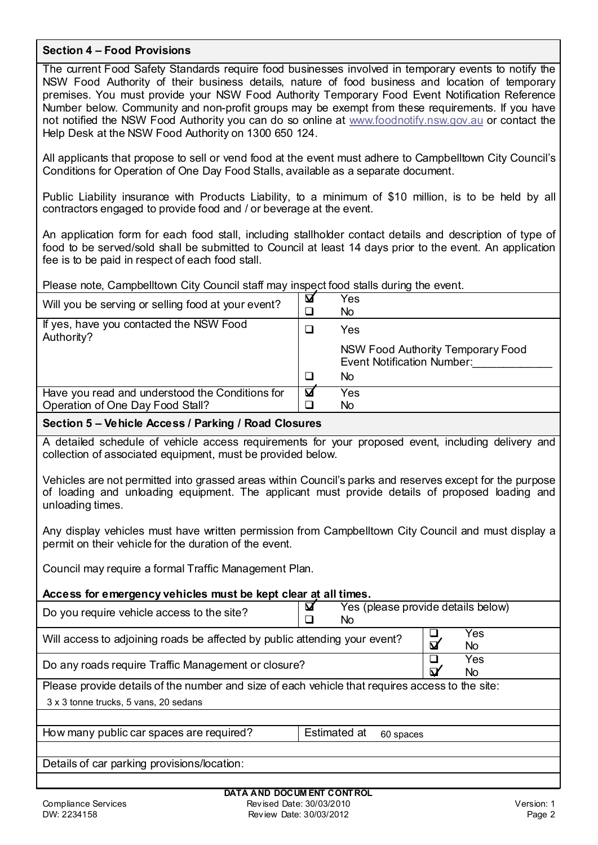### **Section 4 – Food Provisions**

The current Food Safety Standards require food businesses involved in temporary events to notify the NSW Food Authority of their business details, nature of food business and location of temporary premises. You must provide your NSW Food Authority Temporary Food Event Notification Reference Number below. Community and non-profit groups may be exempt from these requirements. If you have not notified the NSW Food Authority you can do so online at [www.foodnotify.nsw.gov.au](http://www.foodnotify.nsw.gov.au/) or contact the Help Desk at the NSW Food Authority on 1300 650 124.

All applicants that propose to sell or vend food at the event must adhere to Campbelltown City Council's Conditions for Operation of One Day Food Stalls, available as a separate document.

Public Liability insurance with Products Liability, to a minimum of \$10 million, is to be held by all contractors engaged to provide food and / or beverage at the event.

An application form for each food stall, including stallholder contact details and description of type of food to be served/sold shall be submitted to Council at least 14 days prior to the event. An application fee is to be paid in respect of each food stall.

Please note, Campbelltown City Council staff may inspect food stalls during the event.

| Will you be serving or selling food at your event?    | ⊠ | Yes<br>No                                                              |
|-------------------------------------------------------|---|------------------------------------------------------------------------|
| If yes, have you contacted the NSW Food<br>Authority? |   | Yes                                                                    |
|                                                       |   | NSW Food Authority Temporary Food<br><b>Event Notification Number:</b> |
|                                                       |   | No.                                                                    |
| Have you read and understood the Conditions for       | ⊠ | Yes                                                                    |
| Operation of One Day Food Stall?                      |   | No                                                                     |

### **Section 5 – Vehicle Access / Parking / Road Closures**

A detailed schedule of vehicle access requirements for your proposed event, including delivery and collection of associated equipment, must be provided below.

Vehicles are not permitted into grassed areas within Council's parks and reserves except for the purpose of loading and unloading equipment. The applicant must provide details of proposed loading and unloading times.

Any display vehicles must have written permission from Campbelltown City Council and must display a permit on their vehicle for the duration of the event.

Council may require a formal Traffic Management Plan.

| Access for emergency vehicles must be kept clear at all times.                                  |              |                                    |                         |            |  |
|-------------------------------------------------------------------------------------------------|--------------|------------------------------------|-------------------------|------------|--|
| Do you require vehicle access to the site?                                                      | ⊠<br>No.     | Yes (please provide details below) |                         |            |  |
| Will access to adjoining roads be affected by public attending your event?                      |              |                                    | $\overline{\mathbf{M}}$ | Yes<br>No. |  |
| Do any roads require Traffic Management or closure?                                             |              |                                    | $\boldsymbol{\nabla}$   | Yes<br>No. |  |
| Please provide details of the number and size of each vehicle that requires access to the site: |              |                                    |                         |            |  |
| 3 x 3 tonne trucks, 5 vans, 20 sedans                                                           |              |                                    |                         |            |  |
|                                                                                                 |              |                                    |                         |            |  |
| How many public car spaces are required?                                                        | Estimated at | 60 spaces                          |                         |            |  |
|                                                                                                 |              |                                    |                         |            |  |
| Details of car parking provisions/location:                                                     |              |                                    |                         |            |  |
|                                                                                                 |              |                                    |                         |            |  |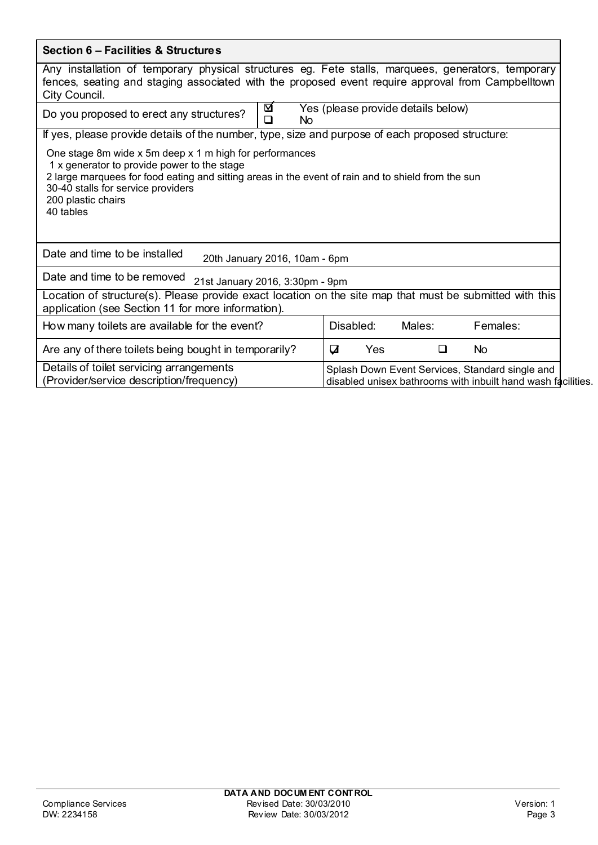| Section 6 - Facilities & Structures                                                                                                                                                                                                                                                                                                                                          |                                |                                    |                                                                                                                 |
|------------------------------------------------------------------------------------------------------------------------------------------------------------------------------------------------------------------------------------------------------------------------------------------------------------------------------------------------------------------------------|--------------------------------|------------------------------------|-----------------------------------------------------------------------------------------------------------------|
| Any installation of temporary physical structures eg. Fete stalls, marquees, generators, temporary<br>fences, seating and staging associated with the proposed event require approval from Campbelltown<br>City Council.                                                                                                                                                     |                                |                                    |                                                                                                                 |
| ⊠<br>Do you proposed to erect any structures?<br>$\Box$<br>No                                                                                                                                                                                                                                                                                                                |                                | Yes (please provide details below) |                                                                                                                 |
| If yes, please provide details of the number, type, size and purpose of each proposed structure:<br>One stage 8m wide x 5m deep x 1 m high for performances<br>1 x generator to provide power to the stage<br>2 large marquees for food eating and sitting areas in the event of rain and to shield from the sun<br>30-40 stalls for service providers<br>200 plastic chairs |                                |                                    |                                                                                                                 |
| 40 tables<br>Date and time to be installed<br>20th January 2016, 10am - 6pm                                                                                                                                                                                                                                                                                                  |                                |                                    |                                                                                                                 |
| Date and time to be removed<br>21st January 2016, 3:30pm - 9pm                                                                                                                                                                                                                                                                                                               |                                |                                    |                                                                                                                 |
| Location of structure(s). Please provide exact location on the site map that must be submitted with this<br>application (see Section 11 for more information).                                                                                                                                                                                                               |                                |                                    |                                                                                                                 |
| How many toilets are available for the event?                                                                                                                                                                                                                                                                                                                                | Disabled:                      | Males:                             | Females:                                                                                                        |
| Are any of there toilets being bought in temporarily?                                                                                                                                                                                                                                                                                                                        | $\overline{\mathbf{u}}$<br>Yes | $\Box$                             | <b>No</b>                                                                                                       |
| Details of toilet servicing arrangements<br>(Provider/service description/frequency)                                                                                                                                                                                                                                                                                         |                                |                                    | Splash Down Event Services, Standard single and<br>disabled unisex bathrooms with inbuilt hand wash facilities. |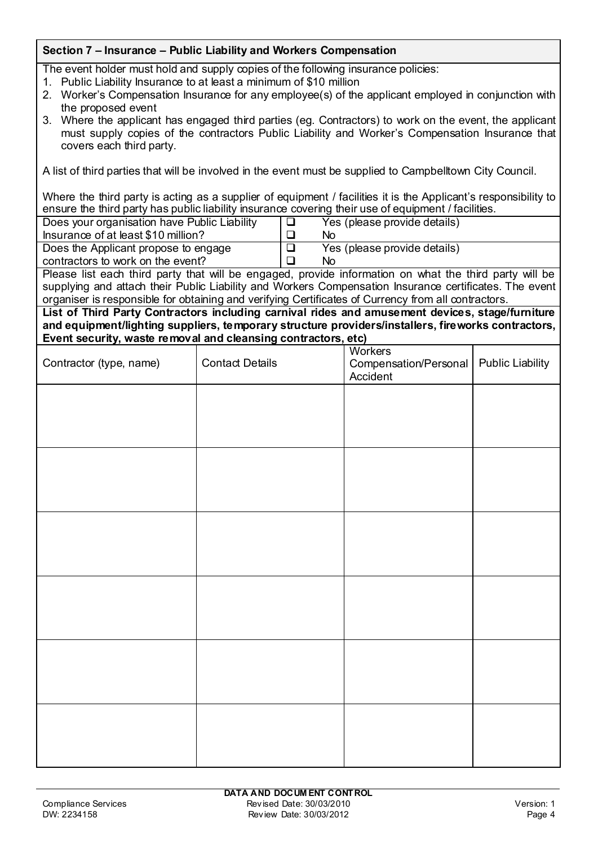# **Section 7 – Insurance – Public Liability and Workers Compensation**

The event holder must hold and supply copies of the following insurance policies:

- 1. Public Liability Insurance to at least a minimum of \$10 million
- 2. Worker's Compensation Insurance for any employee(s) of the applicant employed in conjunction with the proposed event
- 3. Where the applicant has engaged third parties (eg. Contractors) to work on the event, the applicant must supply copies of the contractors Public Liability and Worker's Compensation Insurance that covers each third party.

A list of third parties that will be involved in the event must be supplied to Campbelltown City Council.

Where the third party is acting as a supplier of equipment / facilities it is the Applicant's responsibility to ensure the third party has public liability insurance covering their use of equipment / facilities.

| Does your organisation have Public Liability | ▏Ш     | Yes (please provide details)                                                                           |
|----------------------------------------------|--------|--------------------------------------------------------------------------------------------------------|
|                                              |        |                                                                                                        |
| Insurance of at least \$10 million?          |        | Nο                                                                                                     |
| Does the Applicant propose to engage         | $\Box$ | Yes (please provide details)                                                                           |
| contractors to work on the event?            |        | Nο                                                                                                     |
|                                              |        | Please list each third party that will be engaged, provide information on what the third party will be |

supplying and attach their Public Liability and Workers Compensation Insurance certificates. The event organiser is responsible for obtaining and verifying Certificates of Currency from all contractors.

**List of Third Party Contractors including carnival rides and amusement devices, stage/furniture and equipment/lighting suppliers, temporary structure providers/installers, fireworks contractors,**  <u>.</u><br>dalaanging contractor

| <b>Contact Details</b> | Compensation/Personal<br>Accident | <b>Public Liability</b>                                                  |
|------------------------|-----------------------------------|--------------------------------------------------------------------------|
|                        |                                   |                                                                          |
|                        |                                   |                                                                          |
|                        |                                   |                                                                          |
|                        |                                   |                                                                          |
|                        |                                   |                                                                          |
|                        |                                   |                                                                          |
|                        |                                   |                                                                          |
|                        |                                   |                                                                          |
|                        |                                   |                                                                          |
|                        |                                   |                                                                          |
|                        |                                   |                                                                          |
|                        |                                   |                                                                          |
|                        |                                   | Event security, waste removal and cleansing contractors, etc)<br>Workers |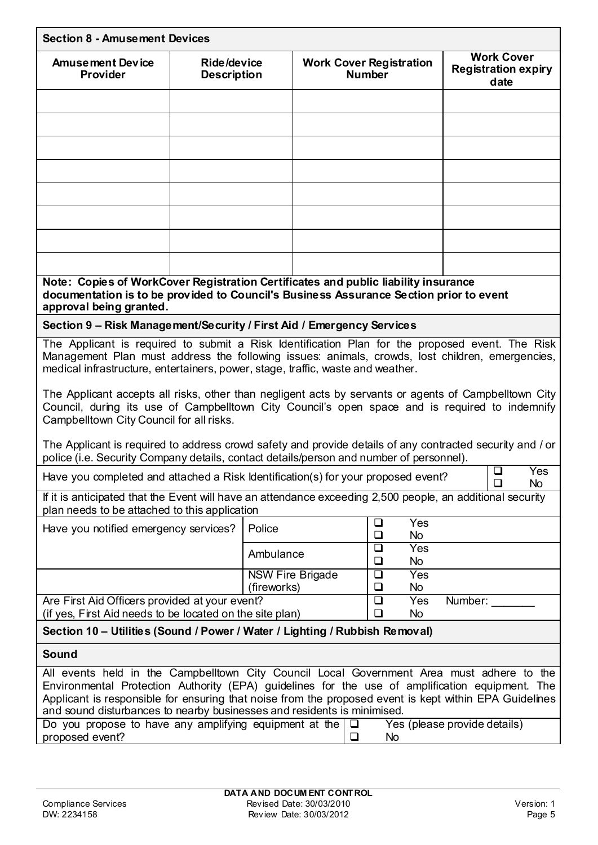| <b>Section 8 - Amusement Devices</b>                                                                                                                                                                                                                                                                                                                                              |                                   |             |                         |               |                                                    |                              |                                                         |
|-----------------------------------------------------------------------------------------------------------------------------------------------------------------------------------------------------------------------------------------------------------------------------------------------------------------------------------------------------------------------------------|-----------------------------------|-------------|-------------------------|---------------|----------------------------------------------------|------------------------------|---------------------------------------------------------|
| <b>Amusement Device</b><br>Provider                                                                                                                                                                                                                                                                                                                                               | Ride/device<br><b>Description</b> |             |                         | <b>Number</b> | <b>Work Cover Registration</b>                     |                              | <b>Work Cover</b><br><b>Registration expiry</b><br>date |
|                                                                                                                                                                                                                                                                                                                                                                                   |                                   |             |                         |               |                                                    |                              |                                                         |
|                                                                                                                                                                                                                                                                                                                                                                                   |                                   |             |                         |               |                                                    |                              |                                                         |
|                                                                                                                                                                                                                                                                                                                                                                                   |                                   |             |                         |               |                                                    |                              |                                                         |
|                                                                                                                                                                                                                                                                                                                                                                                   |                                   |             |                         |               |                                                    |                              |                                                         |
|                                                                                                                                                                                                                                                                                                                                                                                   |                                   |             |                         |               |                                                    |                              |                                                         |
|                                                                                                                                                                                                                                                                                                                                                                                   |                                   |             |                         |               |                                                    |                              |                                                         |
|                                                                                                                                                                                                                                                                                                                                                                                   |                                   |             |                         |               |                                                    |                              |                                                         |
|                                                                                                                                                                                                                                                                                                                                                                                   |                                   |             |                         |               |                                                    |                              |                                                         |
| Note: Copies of WorkCover Registration Certificates and public liability insurance<br>documentation is to be provided to Council's Business Assurance Section prior to event<br>approval being granted.                                                                                                                                                                           |                                   |             |                         |               |                                                    |                              |                                                         |
| Section 9 - Risk Management/Security / First Aid / Emergency Services                                                                                                                                                                                                                                                                                                             |                                   |             |                         |               |                                                    |                              |                                                         |
| The Applicant is required to submit a Risk Identification Plan for the proposed event. The Risk<br>Management Plan must address the following issues: animals, crowds, lost children, emergencies,<br>medical infrastructure, entertainers, power, stage, traffic, waste and weather.                                                                                             |                                   |             |                         |               |                                                    |                              |                                                         |
| The Applicant accepts all risks, other than negligent acts by servants or agents of Campbelltown City<br>Council, during its use of Campbelltown City Council's open space and is required to indemnify<br>Campbelltown City Council for all risks.                                                                                                                               |                                   |             |                         |               |                                                    |                              |                                                         |
| The Applicant is required to address crowd safety and provide details of any contracted security and / or<br>police (i.e. Security Company details, contact details/person and number of personnel).                                                                                                                                                                              |                                   |             |                         |               |                                                    |                              |                                                         |
| Have you completed and attached a Risk Identification(s) for your proposed event?                                                                                                                                                                                                                                                                                                 |                                   |             |                         |               |                                                    |                              | $\Box$<br><b>Yes</b><br>$\Box$<br><b>No</b>             |
| If it is anticipated that the Event will have an attendance exceeding 2,500 people, an additional security<br>plan needs to be attached to this application                                                                                                                                                                                                                       |                                   |             |                         |               |                                                    |                              |                                                         |
| Have you notified emergency services?                                                                                                                                                                                                                                                                                                                                             |                                   | Police      |                         |               | Yes<br>□                                           |                              |                                                         |
|                                                                                                                                                                                                                                                                                                                                                                                   |                                   | Ambulance   |                         |               | $\Box$<br><b>No</b><br>$\overline{\square}$<br>Yes |                              |                                                         |
|                                                                                                                                                                                                                                                                                                                                                                                   |                                   |             | <b>NSW Fire Brigade</b> |               | $\Box$<br>No<br>$\Box$<br>Yes                      |                              |                                                         |
|                                                                                                                                                                                                                                                                                                                                                                                   |                                   | (fireworks) |                         |               | $\Box$<br>No<br>$\Box$<br>Yes                      |                              |                                                         |
| Are First Aid Officers provided at your event?<br>Number:<br>(if yes, First Aid needs to be located on the site plan)<br>$\Box$<br>No                                                                                                                                                                                                                                             |                                   |             |                         |               |                                                    |                              |                                                         |
| Section 10 – Utilities (Sound / Power / Water / Lighting / Rubbish Removal)                                                                                                                                                                                                                                                                                                       |                                   |             |                         |               |                                                    |                              |                                                         |
| Sound                                                                                                                                                                                                                                                                                                                                                                             |                                   |             |                         |               |                                                    |                              |                                                         |
| All events held in the Campbelltown City Council Local Government Area must adhere to the<br>Environmental Protection Authority (EPA) guidelines for the use of amplification equipment. The<br>Applicant is responsible for ensuring that noise from the proposed event is kept within EPA Guidelines<br>and sound disturbances to nearby businesses and residents is minimised. |                                   |             |                         |               |                                                    |                              |                                                         |
| Do you propose to have any amplifying equipment at the<br>proposed event?                                                                                                                                                                                                                                                                                                         |                                   |             |                         | □<br>❏        | No                                                 | Yes (please provide details) |                                                         |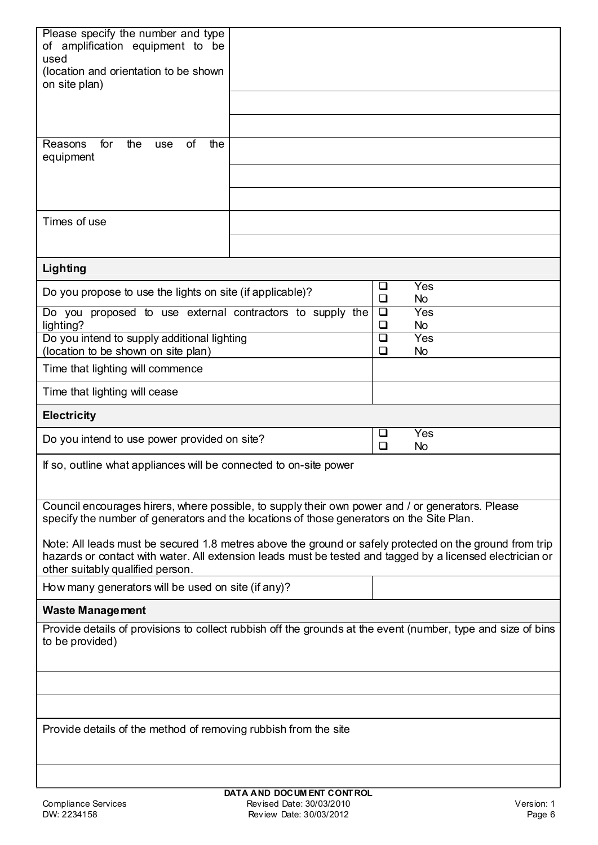| Please specify the number and type                                                                                                                                                                                   |                  |                  |  |
|----------------------------------------------------------------------------------------------------------------------------------------------------------------------------------------------------------------------|------------------|------------------|--|
| of amplification equipment to be<br>used                                                                                                                                                                             |                  |                  |  |
| (location and orientation to be shown<br>on site plan)                                                                                                                                                               |                  |                  |  |
|                                                                                                                                                                                                                      |                  |                  |  |
|                                                                                                                                                                                                                      |                  |                  |  |
| Reasons<br>for<br>the<br>0f<br>the<br>use                                                                                                                                                                            |                  |                  |  |
| equipment                                                                                                                                                                                                            |                  |                  |  |
|                                                                                                                                                                                                                      |                  |                  |  |
|                                                                                                                                                                                                                      |                  |                  |  |
| Times of use                                                                                                                                                                                                         |                  |                  |  |
|                                                                                                                                                                                                                      |                  |                  |  |
| Lighting                                                                                                                                                                                                             |                  |                  |  |
| Do you propose to use the lights on site (if applicable)?                                                                                                                                                            | □<br>$\Box$      | Yes<br><b>No</b> |  |
| Do you proposed to use external contractors to supply the                                                                                                                                                            | $\Box$<br>$\Box$ | Yes              |  |
| lighting?<br>Do you intend to supply additional lighting                                                                                                                                                             | $\Box$           | <b>No</b><br>Yes |  |
| (location to be shown on site plan)                                                                                                                                                                                  | ❏                | <b>No</b>        |  |
| Time that lighting will commence                                                                                                                                                                                     |                  |                  |  |
| Time that lighting will cease                                                                                                                                                                                        |                  |                  |  |
|                                                                                                                                                                                                                      |                  |                  |  |
| <b>Electricity</b>                                                                                                                                                                                                   |                  |                  |  |
| Do you intend to use power provided on site?                                                                                                                                                                         | $\Box$<br>$\Box$ | Yes<br><b>No</b> |  |
| If so, outline what appliances will be connected to on-site power                                                                                                                                                    |                  |                  |  |
| Council encourages hirers, where possible, to supply their own power and / or generators. Please<br>specify the number of generators and the locations of those generators on the Site Plan.                         |                  |                  |  |
| Note: All leads must be secured 1.8 metres above the ground or safely protected on the ground from trip<br>hazards or contact with water. All extension leads must be tested and tagged by a licensed electrician or |                  |                  |  |
| other suitably qualified person.<br>How many generators will be used on site (if any)?                                                                                                                               |                  |                  |  |
| <b>Waste Management</b>                                                                                                                                                                                              |                  |                  |  |
| Provide details of provisions to collect rubbish off the grounds at the event (number, type and size of bins<br>to be provided)                                                                                      |                  |                  |  |
|                                                                                                                                                                                                                      |                  |                  |  |
|                                                                                                                                                                                                                      |                  |                  |  |
|                                                                                                                                                                                                                      |                  |                  |  |
| Provide details of the method of removing rubbish from the site                                                                                                                                                      |                  |                  |  |
|                                                                                                                                                                                                                      |                  |                  |  |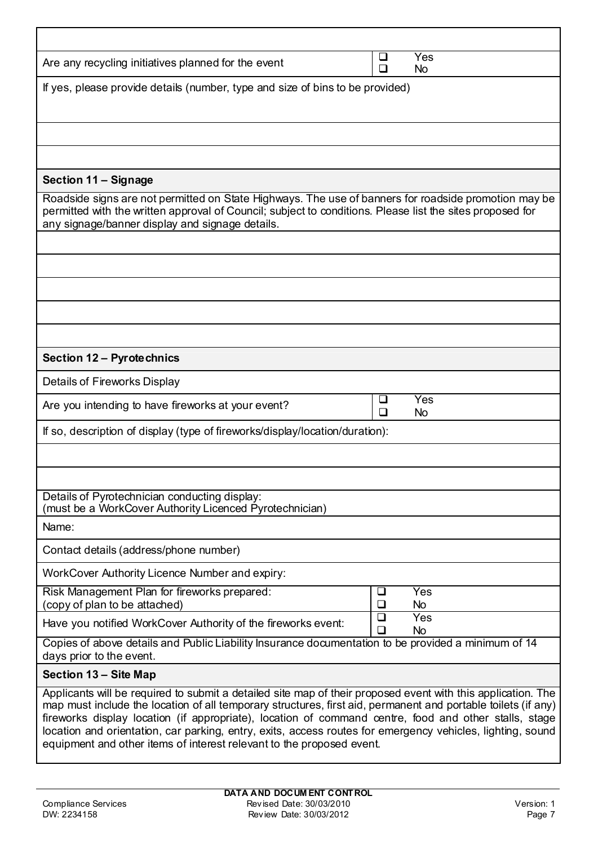| Are any recycling initiatives planned for the event                                                                                                                                                                                                                                                                                                                                                                                                                                                                           | ⊔<br>□ | Yes<br><b>No</b> |
|-------------------------------------------------------------------------------------------------------------------------------------------------------------------------------------------------------------------------------------------------------------------------------------------------------------------------------------------------------------------------------------------------------------------------------------------------------------------------------------------------------------------------------|--------|------------------|
| If yes, please provide details (number, type and size of bins to be provided)                                                                                                                                                                                                                                                                                                                                                                                                                                                 |        |                  |
|                                                                                                                                                                                                                                                                                                                                                                                                                                                                                                                               |        |                  |
|                                                                                                                                                                                                                                                                                                                                                                                                                                                                                                                               |        |                  |
| Section 11 - Signage                                                                                                                                                                                                                                                                                                                                                                                                                                                                                                          |        |                  |
| Roadside signs are not permitted on State Highways. The use of banners for roadside promotion may be<br>permitted with the written approval of Council; subject to conditions. Please list the sites proposed for<br>any signage/banner display and signage details.                                                                                                                                                                                                                                                          |        |                  |
|                                                                                                                                                                                                                                                                                                                                                                                                                                                                                                                               |        |                  |
|                                                                                                                                                                                                                                                                                                                                                                                                                                                                                                                               |        |                  |
|                                                                                                                                                                                                                                                                                                                                                                                                                                                                                                                               |        |                  |
|                                                                                                                                                                                                                                                                                                                                                                                                                                                                                                                               |        |                  |
|                                                                                                                                                                                                                                                                                                                                                                                                                                                                                                                               |        |                  |
| Section 12 - Pyrotechnics                                                                                                                                                                                                                                                                                                                                                                                                                                                                                                     |        |                  |
| Details of Fireworks Display                                                                                                                                                                                                                                                                                                                                                                                                                                                                                                  |        |                  |
| Are you intending to have fireworks at your event?                                                                                                                                                                                                                                                                                                                                                                                                                                                                            | ⊔<br>□ | Yes<br><b>No</b> |
| If so, description of display (type of fireworks/display/location/duration):                                                                                                                                                                                                                                                                                                                                                                                                                                                  |        |                  |
|                                                                                                                                                                                                                                                                                                                                                                                                                                                                                                                               |        |                  |
|                                                                                                                                                                                                                                                                                                                                                                                                                                                                                                                               |        |                  |
| Details of Pyrotechnician conducting display:<br>(must be a WorkCover Authority Licenced Pyrotechnician)                                                                                                                                                                                                                                                                                                                                                                                                                      |        |                  |
| Name:                                                                                                                                                                                                                                                                                                                                                                                                                                                                                                                         |        |                  |
| Contact details (address/phone number)                                                                                                                                                                                                                                                                                                                                                                                                                                                                                        |        |                  |
| WorkCover Authority Licence Number and expiry:                                                                                                                                                                                                                                                                                                                                                                                                                                                                                |        |                  |
| Risk Management Plan for fireworks prepared:<br>(copy of plan to be attached)                                                                                                                                                                                                                                                                                                                                                                                                                                                 | ⊔<br>□ | Yes<br><b>No</b> |
| Have you notified WorkCover Authority of the fireworks event:                                                                                                                                                                                                                                                                                                                                                                                                                                                                 | □<br>◻ | Yes<br><b>No</b> |
| Copies of above details and Public Liability Insurance documentation to be provided a minimum of 14<br>days prior to the event.                                                                                                                                                                                                                                                                                                                                                                                               |        |                  |
| Section 13 - Site Map                                                                                                                                                                                                                                                                                                                                                                                                                                                                                                         |        |                  |
| Applicants will be required to submit a detailed site map of their proposed event with this application. The<br>map must include the location of all temporary structures, first aid, permanent and portable toilets (if any)<br>fireworks display location (if appropriate), location of command centre, food and other stalls, stage<br>location and orientation, car parking, entry, exits, access routes for emergency vehicles, lighting, sound<br>equipment and other items of interest relevant to the proposed event. |        |                  |